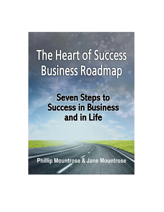# The Heart of Success **Business Roadmap**

**Seven Steps to Success in Business** and in Life

**Phillip Mountrose & Jane Mountrose**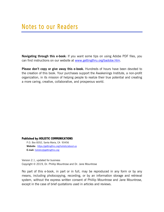**Navigating through this e-book:** If you want some tips on using Adobe PDF files, you can find instructions on our website at www.gettingthru.org/badobe.htm.

**Please don't copy or give away this e-book.** Hundreds of hours have been devoted to the creation of this book. Your purchases support the Awakenings Institute, a non-profit organization, in its mission of helping people to realize their true potential and creating a more caring, creative, collaborative, and prosperous world.

#### **Published by: HOLISTIC COMMUNICATIONS**

P.O. Box 8352, Santa Maria, CA 93456 **Website:** https://gettingthru.org/holistic/about-us **E-mail:** holistic@gettingthru.org

Version 2.1, updated for business Copyright © 2019, Dr. Phillip Mountrose and Dr. Jane Mountrose

No part of this e-book, in part or in full, may be reproduced in any form or by any means, including photocopying, recording, or by an information storage and retrieval system, without the express written consent of Phillip Mountrose and Jane Mountrose, except in the case of brief quotations used in articles and reviews.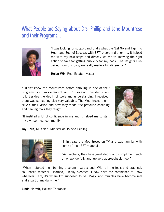## What People are Saying about Drs. Phillip and Jane Mountrose and their Programs…



"I was looking for support and that's what the "Let Go and Tap into Heart and Soul of Success with EFT" program did for me. It helped me with my next steps and directly led me to knowing the right action to take for getting publicity for my book. The insights I received from this program really made a big difference."

**Helen Wix**, Real Estate Investor

"I didn't know the Mountroses before enrolling in one of their programs, so it was a leap of faith. I'm so glad I decided to enroll. Besides the depth of tools and understanding I received, there was something else very valuable. The Mountroses themselves: their vision and how they model the profound coaching and healing tools they taught.



"It instilled a lot of confidence in me and it helped me to start my own spiritual community!"

**Jay Horn**, Musician, Minister of Holistic Healing



"I first saw the Mountroses on TV and was familiar with some of their EFT materials.

"As teachers, they have great depth and compliment each other wonderfully and are very approachable. too."

"When I started their training program I was a bud. With all the tools and practical, soul-based material I learned, I really bloomed. I now have the confidence to know wherever I am, it's where I'm supposed to be. Magic and miracles have become real and a part of my daily life."

**Linda Harrah**, Holistic Therapist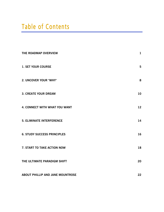## Table of Contents

| THE ROADMAP OVERVIEW               | $\mathbf{1}$ |
|------------------------------------|--------------|
| <b>1. SET YOUR COURSE</b>          | 5            |
| 2. UNCOVER YOUR "WHY"              | 8            |
| <b>3. CREATE YOUR DREAM</b>        | 10           |
| 4. CONNECT WITH WHAT YOU WANT      | 12           |
| <b>5. ELIMINATE INTERFERENCE</b>   | 14           |
| <b>6. STUDY SUCCESS PRINCIPLES</b> | 16           |
| 7. START TO TAKE ACTION NOW        | 18           |
| THE ULTIMATE PARADIGM SHIFT        | 20           |
| ABOUT PHILLIP AND JANE MOUNTROSE   | 22           |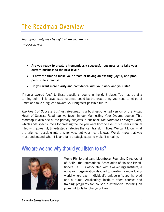## The Roadmap Overview

*Your opportunity may be right where you are now. -NAPOLEON HILL* 

- **Are you ready to create a tremendously successful business or to take your current business to the next level?**
- **Is now the time to make your dream of having an exciting, joyful, and prosperous life a reality?**
- **Do you want more clarity and confidence with your work and your life?**

If you answered "yes" to these questions, you're in the right place. You may be at a turning point. This seven-step roadmap could be the exact thing you need to let go of limits and take a big leap toward your brightest possible future.

*The Heart of Success Business Roadmap* is a business-oriented version of the 7-step Heart of Success Roadmap we teach in our Manifesting Your Dreams course. This roadmap is also one of the primary subjects in our book *The Ultimate Paradigm Shift*, which adds specific tools for creating the life you were born to live. It is a user's manual filled with powerful, time-tested strategies that can transform lives. We can't know what the brightest possible future is for you, but your heart knows. We do know that you must understand what it is and take strategic steps to make it a reality.

### Who are we and why should you listen to us?



We're Phillip and Jane Mountrose, Founding Directors of of IAHP - the International Association of Holistic Practitioners. IAHP is associated with Awakenings Institute, a non-profit organization devoted to creating a more loving world where each individual's unique gifts are honored and nurtured. Awakenings Institute offers courses and training programs for holistic practitioners, focusing on powerful tools for changing lives.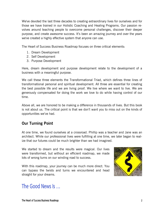We've devoted the last three decades to creating extraordinary lives for ourselves and for those we have trained in our Holistic Coaching and Healing Programs. Our passion revolves around teaching people to overcome personal challenges, discover their deeper purpose, and create awesome success. It's been an amazing journey and over the years we've created a highly effective system that anyone can use.

The Heart of Success Business Roadmap focuses on three critical elements:

- 1. Dream Development
- 2. Self Development
- 3. Purpose Development

Here, dream development and purpose development relate to the development of a business with a meaningful purpose.

We call these three elements the Transformational Triad, which defines three lines of transformational personal and spiritual development. All three are essential for creating the best possible life and we are living proof. We live where we want to live. We are generously compensated for doing the work we love to do while having control of our time.

Above all, we are honored to be making a difference in thousands of lives. But this book is not about us. The critical point is that we don't want you to miss out on the kinds of opportunities we've had.

#### **Our Turning Point**

At one time, we found ourselves at a crossroad. Phillip was a teacher and Jane was an architect. While our professional lives were fulfilling at one time, we later began to realize that our futures could be much brighter than we had imagined.

We started to dream and the results were magical. Our lives were transformed, but without an efficient roadmap, we made lots of wrong turns on our winding road to success.

With this roadmap, your journey can be much more direct. You can bypass the twists and turns we encountered and head straight for your dreams.



The Good News Is …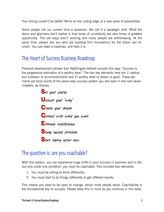Your timing couldn't be better! We're on the cutting edge of a new wave of possibilities.

Some people call our current time a recession. We call it a paradigm shift. What the doom and gloomers don't realize is that times of uncertainty are also times of greatest opportunity. The old ways aren't working and many people are withdrawing. At the same time, people like you who are building firm foundations for the future can triumph. You just need a roadmap, and here it is.

### The Heart of Success Business Roadmap

Personal development pioneer Earl Nightingale defined success this way: "Success is the progressive realization of a worthy ideal." The two key elements here are 1) realization (creation or accomplishment) and 2) worthy ideal (a dream or goal). These elements are focal points of the seven-step success system you will learn in the next seven chapters, as follows:

> Set your course. **U**ncover your "why." **C**reate your dream. **C**onnect with what you want. **E**liminate interference. **S**tudy success principles. Start taking action now.

### The question is: are you coachable?

With this system, you can experience huge shifts in your success in business and in life, but only under one condition: you must be coachable. This includes two elements:

- 1. You must be willing to think differently.
- 2. You must start to do things differently to get different results.

This means you need to be open to change, which most people resist. Coachability is the foundational key to success. Please keep this in mind as you continue in this book.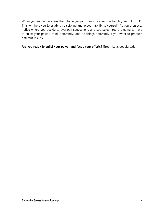When you encounter ideas that challenge you, measure your coachability from 1 to 10. This will help you to establish discipline and accountability to yourself. As you progress, notice where you decide to overlook suggestions and strategies. You are going to have to enlist your power, think differently, and do things differently if you want to produce different results.

**Are you ready to enlist your power and focus your efforts?** Great! Let's get started.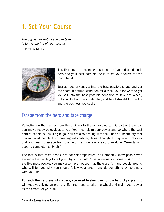## 1. Set Your Course

*The biggest adventure you can take is to live the life of your dreams.* 

- OPRAH WINFREY



The first step in becoming the creator of your desired business and your best possible life is to set your course for the road ahead.

Just as race drivers get into the best possible shape and get their cars in optimal condition for a race, you first want to get yourself into the best possible condition to take the wheel, put your foot on the accelerator, and head straight for the life and the business you desire.

### Escape from the herd and take charge!

Reflecting on the journey from the ordinary to the extraordinary, this part of the equation may already be obvious to you. You must claim your power and go where the vast herd of people is unwilling to go. You are also dealing with the kinds of uncertainty that prevent most people from creating extraordinary lives. Though it may sound obvious that you need to escape from the herd, it's more easily said than done. We're talking about a complete reality shift.

The fact is that most people are not self-empowered. You probably know people who are more than willing to tell you why you shouldn't be following your dream. And if you are like most people, you may also have noticed that there aren't many people around who will tell you why you should follow your dream and do something extraordinary with your life.

**To reach the next level of success, you need to steer clear of the herd** of people who will keep you living an ordinary life. You need to take the wheel and claim your power as the creator of your life.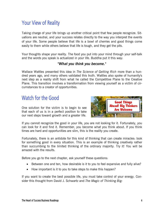## Your View of Reality

Taking charge of your life brings up another critical point that few people recognize. Situations are neutral, and your success relates directly to the way you interpret the events of your life. Some people believe that life is a bowl of cherries and good things come easily to them while others believe that life is tough, and they get the pits.

Your thoughts shape your reality. The food you put into your mind through your self-talk and the words you speak is actualized in your life. Buddha put it this way:

#### *"What you think you become."*

Wallace Wattles presented this idea in *The Science of Getting Rich* more than a hundred years ago, and many others validated this truth. Wattles also spoke of humanity's next step as a reality shift from what he called the Competitive Plane to the Creative Plane. This transition involves a transformation from viewing yourself as a victim of circumstances to a creator of opportunities.

### Watch for the Good

One solution for the victim is to begin to see that each of us is in a perfect position to take our next steps toward growth and a greater life.



If you cannot recognize the good in your life, you are not looking for it. Fortunately, you can look for it and find it. Remember, you become what you think about. If you think times are hard and opportunities are slim, this is the reality you create.

Fortunately, there is an antidote for this kind of thinking that can create miracles: look for something good in every situation. This is an example of thinking creatively rather than succumbing to the limited thinking of the ordinary majority. Try it! You will be amazed with the results.

Before you go to the next chapter, ask yourself these questions:

- Between one and ten, how desirable is it to you to feel expansive and fully alive?
- How important is it to you to take steps to make this happen?

If you want to create the best possible life, you must take control of your energy. Consider this thought from David J. Schwartz and *The Magic of Thinking Big:*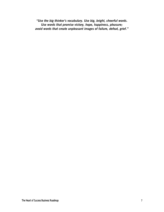*"Use the big thinker's vocabulary. Use big, bright, cheerful words. Use words that promise victory, hope, happiness, pleasure; avoid words that create unpleasant images of failure, defeat, grief."*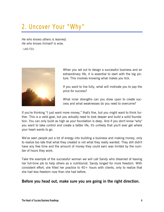## 2. Uncover Your "Why"

*He who knows others is learned; He who knows himself is wise.* 

- LAO-TZU



When you set out to design a successful business and an extraordinary life, it is essential to start with the big picture. This involves knowing what makes you tick.

If you want to live fully, what will motivate you to pay the price for success?

What inner strengths can you draw upon to create success and what weaknesses do you need to overcome?

If you're thinking "I just want more money," that's fine, but you might want to think further. This is a valid goal, but you actually need to look deeper and build a solid foundation. You can only build as high as your foundation is deep. And if you don't know "why" you want to take control and create a better life, it's unlikely that you'll ever get where your heart wants to go.

We've seen people put a lot of energy into building a business and making money, only to realize too late that what they created is not what they really wanted. They still didn't have any free time and the amount of money they could earn was limited by the number of hours they work.

Take the example of the successful woman we will call Sandy who dreamed of leaving her full-time job to help others as a nutritionist. Sandy longed for more freedom. With consistent effort, she filled her practice to  $40+$  hours with clients, only to realize that she had less freedom now than she had before.

#### **Before you head out, make sure you are going in the right direction.**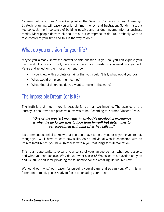"Looking before you leap" is a key point in the *Heart of Success Business Roadmap*. Strategic planning will save you a lot of time, money, and frustration. Sandy missed a key concept, the importance of building passive and residual income into her business model. Most people don't think about this, but entrepreneurs do. You probably want to take control of your time and this is the way to do it.

## What do you envision for your life?

Maybe you already know the answer to this question. If you do, you can explore your next level of success. If not, here are some critical questions you must ask yourself. Pause and reflect on them for a moment now.

- If you knew with absolute certainty that you couldn't fail, what would you do?
- What would bring you the most joy?
- What kind of difference do you want to make in the world?

## The Impossible Dream (or is it?)

The truth is that much more is possible for us than we imagine. The essence of the journey is about who we perceive ourselves to be. According to Norman Vincent Peale:

#### *"One of the greatest moments in anybody's developing experience is when he no longer tries to hide from himself but determines to get acquainted with himself as he really is."*

It's a tremendous relief to know that you don't have to be anyone or anything you're not, though you WILL have to learn new skills. As an individual who is connected with an Infinite Intelligence, you have greatness within you that longs for full realization.

This is an opportunity to expand your sense of your unique genius, what you deserve, and what you can achieve. Why do you want success? We asked this question early on and we still credit it for providing the foundation for the amazing life we live now.

We found our "why," our reason for pursuing your dream, and so can you. With this information in mind, you're ready to focus on creating your dream.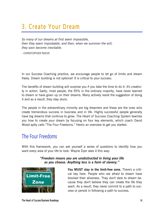## 3. Create Your Dream

*So many of our dreams at first seem impossible, then they seem improbable, and then, when we summon the will, they soon become inevitable.* 

- CHRISTOPHER REEVE

In our Success Coaching practice, we encourage people to let go of limits and dream freely. Dream building is not optional! It is critical to your success.

The benefits of dream building will surprise you if you take the time to do it. It's creativity in action. Sadly, most people, the 95% in the ordinary majority, have never learned to dream or have given up on their dreams. Many actively resist the suggestion of doing it and as a result, they stay stuck.

The people in the extraordinary minority are big dreamers and these are the ones who create tremendous success in business and in life. Highly successful people generally have big dreams that continue to grow. The *Heart of Success Coaching System* teaches you how to create your dream by focusing on four key elements, which coach David Wood aptly calls "The Four Freedoms." Here's an overview to get you started.

### The Four Freedoms

With this framework, you can ask yourself a series of questions to identify how you want every area of your life to look. Wayne Dyer sees it this way:

#### *"Freedom means you are unobstructed in living your life as you choose. Anything less is a form of slavery."*



**You MUST stay in the limit-free zone.** There's a critical key here. People who are afraid to dream have blocked their aliveness. They don't dare to dream because they don't believe they can create the life they want. As a result, they never commit to a path to success or persist in following a path to success.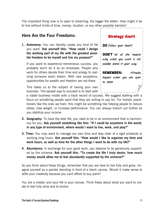The important thing now is to open to dreaming, the bigger the better. How might it be to live without limits of time, money, location, or any other possible barriers?

#### **Here Are the Four Freedoms:**

**1. Autonomy:** You can literally create any kind of life you want. **Ask yourself this: "How could I design the working part of my life with the greatest possible freedom to be myself and live my purpose?"**

If you want to experience tremendous success, you probably won't do it as an employee. People who work for others devote their time and energy to realizing someone else's dream. With rare exceptions, opportunities for wealth and freedom are not there.

This takes us to the subject of having your own business. The easiest way to succeed is to start with  $\frac{1}{2}$ 

| <b>Strategy Alert!</b>                                                                      |
|---------------------------------------------------------------------------------------------|
| <b>DO</b> Follow your heart!                                                                |
| <b>DON'T</b> let all the reasons<br>why what you want is not<br>possible stand in your way. |
| <b>REMEMBER:</b><br>Miracles<br>happen when you are open<br>to them                         |

a viable business model with a track record of success. We suggest starting with a focus on something people want that they are willing to pay for. For holistic practitioners like the ones we train, this might be something like helping people to reduce stress, lose weight, or increase performance. You can always branch out further as you stabilize your income.

- **2. Geography:** To have the best life, you need to be in an environment that is harmonious for you. **Ask yourself something like this: "If I could be anywhere in the world, in any type of environment, where would I want to live, work, and play?"**
- **3. Time:** You may want to manage our own time and stay clear of a rigid schedule or working long hours. **Ask yourself this: "How would I like to organize my time and work hours, as well as time for the other things I want to do with my life?"**
- **4. Abundance:** In exchange for your good work, you deserve to be generously supported by the universe. **Ask yourself this: "To create the life I truly desire, how much money would allow me to feel abundantly supported by the universe?"**

As you think about these things, remember that you are here to live fully and grow. Imagine yourself as a painter standing in front of a blank canvas. Would it make sense to stifle your creativity because you can't afford to buy paint?

You are a creator and your life is your canvas. Think freely about what you want to create to feel fully alive and to evolve.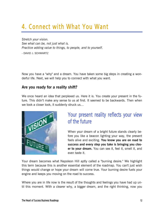## 4. Connect with What You Want

*Stretch your vision. See what can be, not just what is. Practice adding value to things, to people, and to yourself.* 

- DAVID J. SCHWARTZ

Now you have a "why" and a dream. You have taken some big steps in creating a wonderful life. Next, we will help you to connect with what you want.

#### **Are you ready for a reality shift?**

We once heard an idea that perplexed us. Here it is. You create your present in the future. This didn't make any sense to us at first. It seemed to be backwards. Then when we took a closer look, it suddenly struck us…



## Your present reality reflects your view of the future

When your dream of a bright future stands clearly before you like a beacon lighting your way, the present feels alive and exciting. **You know you are on road to success and every step you take is bringing you closer to your dream.** You can see it, feel it, smell it, and even taste it.

Your dream becomes what Napoleon Hill aptly called a "burning desire." We highlight this term because this is another essential element of the roadmap. You can't just wish things would change or hope your dream will come true. Your burning desire fuels your engine and keeps you moving on the road to success.

Where you are in life now is the result of the thoughts and feelings you have had up until this moment. With a clearer why, a bigger dream, and the right thinking, now you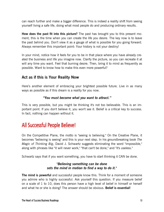can reach further and make a bigger difference. This is indeed a reality shift from seeing yourself living a safe life, doing what most people do and producing ordinary results.

**How does the past fit into this picture?** The past has brought you to this present moment, this is the time when you can create the life you desire. The key now is to leave the past behind you. Don't view it as a gauge of what is possible for you going forward. Always remember this important point: Your history is not your destiny!

In your mind, notice how it feels for you to be in that place where you have already created the business and life you imagine now. Clarify the picture, so you can recreate it at will any time you want. Feel that burning desire. Then, bring it to mind as frequently as possible. Want to know how to make this even more powerful?

#### **Act as if this is Your Reality Now**

Here's another element of embracing your brightest possible future. Live in as many ways as possible as if this dream is a reality for you now.

#### *"You must become what you want to attract."*

This is very possible, but you might be thinking it's not too believable. This is an important point. If you don't believe it, you won't see it. Belief is a critical key to success. In fact, nothing can happen without it.

## All Successful People Believe!

On the Competitive Plane, the motto is "seeing is believing." On the Creative Plane, it becomes "believing is seeing" and this is your next step. In his groundbreaking book *The Magic of Thinking Big*, David J. Schwartz suggests eliminating the word "impossible," along with phrases like "it will never work," "that can't be done," and "it's useless."

Schwartz says that if you want something, you have to start thinking it CAN be done.

#### *"Believing something can be done sets the mind in motion to find a way to do it."*

**The mind is powerful** and successful people know this. Think for a moment of someone you admire who is highly successful. Ask yourself this question. If you measure belief on a scale of 1 to 10, does this person have a high level of belief in himself or herself and what he or she is doing? The answer should be obvious. **Belief is essential!**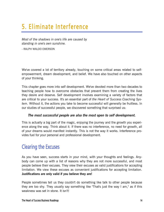## 5. Eliminate Interference

*Most of the shadows in one's life are caused by standing in one's own sunshine.* 

- RALPH WALDO EMERSON

We've covered a lot of territory already, touching on some critical areas related to selfempowerment, dream development, and belief. We have also touched on other aspects of your thinking.

This chapter goes more into self development. We've devoted more than two decades to teaching people how to overcome obstacles that prevent them from creating the lives they desire and deserve. Self development involves examining a variety of factors that are critical to your success. It's an essential part of *the Heart of Success Coaching System*. Without it, the actions you take to become successful will generally be fruitless. In our studies of successful people, we discovered something that surprised us:

#### *The most successful people are also the most open to self development.*

This is actually a big part of the magic, enjoying the journey and the growth you experience along the way. Think about it. If there was no interference, no need for growth, all of your dreams would manifest instantly. This is not the way it works. Interference provides fuel for your personal and professional development.

### Clearing the Excuses

As you have seen, success starts in your mind, with your thoughts and feelings. Anybody can come up with a list of reasons why they are not more successful, and most people believe their excuses. They view their excuses as valid justifications for accepting limitation. We view these excuses as convenient justifications for accepting limitation. **Justifications are only valid if you believe they are!**

People sometimes tell us they couldn't do something like talk to other people because they are too shy. They usually say something like "That's just the way I am," as if this weakness was set in stone. It isn't!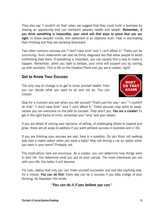They also say "I couldn't do that" when we suggest that they could build a business by sharing an opportunity that can transform people's health and wealth. **Remember, if you think something is impossible, your mind will find ways to prove that you are right.** In these peoples' minds, this statement is an objective truth. Fear is dominating their thinking and they are spiraling downward.

Two other common excuses are "I don't have time" and "I can't afford it." These can be convincing. Such statements can also be thinly disguised lies that allow people to avoid confronting their fears. If something is important, you can usually find a way to make it happen. Remember, when you start to believe, your mind will support you by coming up with solutions. This is life on the Creative Plane and you are a creator, right?

#### **Get to Know Your Excuses**

The only way to change is to get to know yourself better! Then you can decide what you want to do and not do. You can choose.



Stop for a moment and ask when you tell yourself "That's just the way I am," "I couldn't do that," "I don't have time," and "I can't afford it." These excuses may point to weaknesses you can overcome on the path to success. They aren't you. **You are a creator!** To get in the right frame of mind, remember your "why" and your dream.

If you are afraid of voicing your opinions, of selling, of challenging others to expand and grow, these are all areas to address if you want achieve success in business and in life.

If you are thinking your excuses are real, here is a question. Do you think not walking was ever a viable option when you were a baby? Was not driving a car an option when you were in your teens? Probably not.

The implications here are enormous. As a creator, you can determine how things work in your life. You determine what you put on your canvas. The more intentional you are with your life, the better it will become.

For now, realize that only you can make yourself successful and just like anything else, it's a choice. **You can do this!** Every day can be a success if you take charge of your thinking. As Napoleon Hill wrote:

*"You can do it if you believe you can."*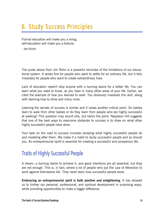## 6. Study Success Principles

Formal education will make you a living; self-education will make you a fortune.

- JIM ROHN

The quote above from Jim Rohn is a powerful reminder of the limitations of our educational system. It works fine for people who want to settle for an ordinary life, but it fails miserably for people who want to create extraordinary lives.

Lack of education needn't stop anyone with a burning desire for a better life. You can learn what you need to know, as you have in many other areas of your life. Earlier, we cited the example of how you learned to walk. You obviously mastered this skill, along with learning how to drive and many more.

Learning the secrets of success is similar and it raises another critical point. Do babies learn to walk from other babies or do they learn from people who are highly successful at walking? This question may sound silly, but here's the point. Napoleon Hill suggests that one of the best ways to overcome obstacles to success is to draw on what other highly successful people have done.

Your task on the road to success includes studying what highly successful people do and modeling after them. We make it a habit to study successful people and so should you. An entrepreneurial spirit is essential for creating a successful and prosperous life.

### Traits of Highly Successful People

A dream, a burning desire to achieve it, and good intentions are all essential, but they are not enough. This is, in fact, where a lot of people who put the Law of Attraction to work against themselves fail. They never learn how successful people excel.

**Embracing an entrepreneurial spirit is both positive and enlightening.** It has allowed us to further our personal, professional, and spiritual development in surprising ways, while providing opportunities to make a bigger difference.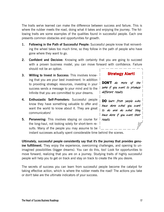The traits we've learned can make the difference between success and failure. This is where the rubber meets the road, doing what it takes and enjoying the journey. The following traits are some examples of the qualities found in successful people. Each one presents common obstacles and opportunities for growth.

- **1. Following in the Path of Successful People:** Successful people know that reinventing the wheel takes too much time, so they follow in the path of people who have gone where they want to go.
- **2. Confident and Decisive:** Knowing with certainty that you are going to succeed with a proven business model, you can move forward with confidence. Failure should not be an option.
- **3. Willing to Invest in Success:** This involves knowing that you are your best investment. In addition to providing strategic resources, investing in your success sends a message to your mind and to the Infinite that you are committed to your dreams.
- **4. Enthusiastic Self-Promoters:** Successful people know they have something valuable to offer and want the world to know about it. They are great communicators!
- **5. Persevering:** This involves staying on course for the long-haul, not looking solely for short-term results. Many of the people you may assume to be

**Strategy Alert!** 

**DON'T** do more of the same if you want to produce different results.

**DO** learn from people who have done what you want to do and do what they have done if you want their results.

instant successes actually spent considerable time behind the scenes.

**Ultimately, successful people consistently say that it's the journey that provides genuine fulfillment.** They enjoy the experience, overcoming challenges, and opening to unimagined possibilities (bigger dreams). You can do this, too! Look for opportunities to move forward, realizing that you are on a journey. Studying traits of highly successful people will help you to get on track and stay on track to create the life you desire.

The secrets of success you can learn from successful people become the catalyst for taking effective action, which is where the rubber meets the road! The actions you take or don't take are the ultimate indicators of your success.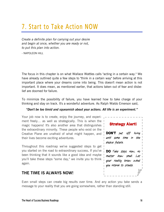## 7. Start to Take Action NOW

*Create a definite plan for carrying out your desire and begin at once, whether you are ready or not, to put this plan into action.* 

- NAPOLEON HILL

The focus in this chapter is on what Wallace Wattles calls "acting in a certain way." We have already outlined quite a few steps to "think in a certain way" before arriving at this important place where your dreams come into being. This doesn't mean action is not important. It does mean, as mentioned earlier, that actions taken out of fear and disbelief are doomed for failure.

To minimize the possibility of failure, you have learned how to take charge of your thinking and stay on track. It's a wonderful adventure. As Ralph Waldo Emerson said,

#### *"Don't be too timid and squeamish about your actions. All life is an experiment."*

Your job now is to create, enjoy the journey, and experiment freely… as well as strategically. This is when the magic happens! It's also another area that distinguishes the extraordinary minority. These people who exist on the Creative Plane are unafraid of what might happen, and their lives become exciting adventures.

Throughout this roadmap we've suggested steps to get you started on the road to extraordinary success**.** If you've been thinking that it sounds like a good idea and maybe you'll take these steps "some day," we invite you to think again.

#### **THE TIME IS ALWAYS NOW!**

**Strategy Alert!** 

**DON'T** put off living until some time in the elusive future.

**DO** Take steps now, matter how small. your reality know what you intend to create.

Even small steps can create big results over time. And any action you take sends a message to your reality that you are going somewhere, rather than standing still.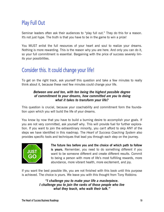## Play Full Out

Seminar leaders often ask their audiences to "play full out." They do this for a reason. It's not just hype. The truth is that you have to be in the game to win a prize!

You MUST enlist the full resources of your heart and soul to realize your dreams. Nothing is more rewarding. This is the reason why you are here. And only you can do it, so your full commitment is essential. Bargaining with the price of success severely limits your possibilities.

## Consider this. It could change your life!

To get on the right track, ask yourself this question and take a few minutes to really think about it, because these next few minutes could change your life.

#### *Between one and ten, with ten being the highest possible degree of commitment to your dreams, how committed are you to doing what it takes to transform your life?*

This question is crucial, because your coachability and commitment form the foundation upon which you will build the life of your dreams.

You know by now that you have to build a burning desire to accomplish your goals. If you are not very committed, ask yourself why. This will provide fuel for further exploration. If you want to join the extraordinary minority, you can't afford to skip ANY of the steps we have identified in this roadmap. The *Heart of Success Coaching System* also provides specific tools and techniques that lead you through each step on the journey.



**The future lies before you and the choice of which path to follow is yours.** Remember, you need to do something different if you want to be someone different and create different results. Commit to being a person with more of life's most fulfilling rewards, more abundance, more vibrant health, more excitement, and joy.

If you want the best possible life, you are not finished with this book until this purpose is achieved. The choice is yours. We leave you with this thought from Tony Robbins:

> *"I challenge you to make your life a masterpiece. I challenge you to join the ranks of those people who live what they teach, who walk their talk."*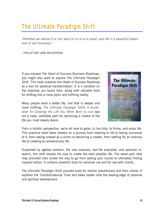## The Ultimate Paradigm Shift

*"Whether we realize it or not, each of us is on a quest, and life is a beautiful adventure of self-discovery."*

- PHILLIP AND JANE MOUNTROSE

If you enjoyed *The Heart of Success Business Roadmap*, you might also want to explore *The Ultimate Paradigm Shift*. This book presents the Heart of Success Roadmap as a tool for personal transformation. It is a variation on the roadmap you found here, along with valuable tools for shifting into a more joyful and fulfilling reality.

Many people want a better life, one that is deeper and more fulfilling. *The Ultimate Paradigm Shift: A Guidebook for Creating the Life You Were Born to Live* lays out a clear, verifiable path for becoming a creator of the life you most deeply desire.



From a holistic perspective, we're all here to grow, to live fully, to thrive, and enjoy life. This practical book takes readers on a journey from reacting to life to taking command of it, from seeing oneself as a victim to becoming a creator, from settling for an ordinary life to creating an extraordinary life.

Supported by ageless wisdom, the new sciences, real-life examples, and personal research, this shift reveals the way to create the best possible life. The seven-part road map provided here shows the way to go from setting your course to ultimately finding inspired action. It contains powerful tools for personal use and for use with clients.

*The Ultimate Paradigm Shift* provides tools for holistic practitioners and their clients. It explores the Transformational Triad and takes reader onto the leading-edge of personal and spiritual development.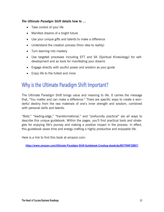#### *The Ultimate Paradigm Shift* **details how to …**

- Take control of your life
- Manifest dreams of a bright future
- Use your unique gifts and talents to make a difference
- Understand the creation process (from idea to reality)
- Turn learning into mastery
- Use targeted processes including EFT and SK (Spiritual Kinesiology) for selfdevelopment and as tools for manifesting your dreams
- Engage directly with soulful power and wisdom as your guide
- Enjoy life to the fullest and more

### Why is the Ultimate Paradigm Shift Important?

The Ultimate Paradigm Shift brings value and meaning to life. It carries the message that, "You matter and can make a difference." There are specific ways to create a wonderful destiny from the raw materials of one's inner strength and wisdom, combined with personal skills and talents.

"Bold," "leading-edge," "transformational," and "profoundly practical" are all ways to describe this unique guidebook. Within the pages, you'll find practical tools and strategies for enjoying life's journey and making a positive impact in the process. In effect, this guidebook saves time and energy crafting a highly productive and enjoyable life.

Here is a link to find this book at amazon.com:

**https://www.amazon.com/Ultimate-Paradigm-Shift-Guidebook-Creating-ebook/dp/B079WF2BB7/**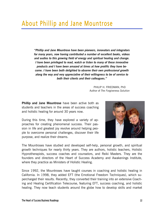*"Phillip and Jane Mountrose have been pioneers, innovators and integrators for many years, now having contributed a number of excellent books, videos and audios to this growing field of energy and spiritual healing and change. I have been privileged to read, watch or listen to many of these innovative products and I have been amazed at times at how prolific they have become. I have been both delighted to observe their own professional growth along the way and very appreciative of their willingness to be of service to both their clients and their colleagues."* 

> PHILIP H. FRIEDMAN, PhD Author of *The Forgiveness Solution*

**Phillip and Jane Mountrose** have been active both as students and teachers in the areas of success coaching and holistic healing for around 30 years now.

During this time, they have explored a variety of approaches for creating phenomenal success. Their passion in life and greatest joy revolve around helping people to overcome personal challenges, discover their life purpose, and realize their dreams.



The Mountroses have studied and developed self-help, personal growth, and spiritual growth techniques for nearly thirty years. They are authors, holistic teachers, Holistic Hypnotherapists, success coaches and counselors, and Reiki Masters. They are the founders and directors of the Heart of Success Academy and Awakenings Institute, where they practice as Ministers of Holistic Healing.

Since 1992, the Mountroses have taught courses in coaching and holistic healing in California. In 1998, they added EFT (the Emotional Freedom Techniques), which supercharged their results. Recently, they converted their training into an extensive Coaching and Healing Certification Telecourse, featuring EFT, success coaching, and holistic healing. They now teach students around the globe how to develop skills and market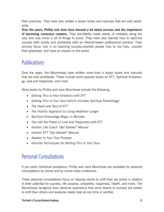their practices. They have also written a dozen books and manuals that are sold worldwide.

**Over the years, Phillip and Jane have learned a lot about success and the importance of becoming conscious creators.** They admittedly made plenty of mistakes along the way and now know a lot of things to avoid. They have also learned how to optimize success both locally and worldwide with an internet-based professional practice. Their primary focus now is on teaching success-oriented people how to live fully, uncover their greatness, and have an impact on the world.

## **Publications**

Over the years, the Mountroses have written more than a dozen books and manuals that are sold worldwide. These include some popular books on EFT, Spiritual Kinesiology, love and happiness, and more.

More books by Phillip and Jane Mountrose include the following:

- *Getting Thru to Your Emotions with EFT*
- *Getting Thru to Your Soul (which includes Spiritual Kinesiology)*
- *The Heart and Soul of EFT*
- *The Holistic Approach to Living Healthier Longer*
- *Spiritual Kinesiology Magic in Minutes*
- *Tap into the Power of Love and Happiness with EFT*
- *Holistic Life Coach "Get Started" Manual*
- *Holistic EFT "Get Started" Manual*
- *Awaken to Your True Purpose*
- *Intuitive Techniques for Getting Thru to Your Soul*

## Personal Consultations

If you want individual assistance, Phillip and Jane Mountrose are available for personal consultations by phone and by online video conference.

These personal consultations focus on helping clients to shift their set points in relation to their potential for success, life purpose, prosperity, happiness, health, and more. The Mountroses recognize from personal experience that some blocks to success are harder to shift than others and everyone needs help at one time or another.